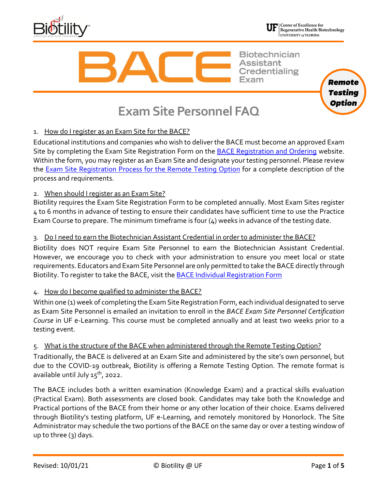



Regenerative Health Biotechnology UNIVERSITY of FLORIDA

**Biotechnician Assistant Credentialing** 



# **Exam Site Personnel FAQ**

# 1. How do I register as an Exam Site for the BACE?

Educational institutions and companies who wish to deliver the BACE must become an approved Exam Site by completing the Exam Site Registration Form on the [BACE Registration and Ordering](http://biotility.research.ufl.edu/bace/schoolregistration) website. Within the form, you may register as an Exam Site and designate your testing personnel. Please review the **Exam Site Registration Process for the Remote Testing Option** for a complete description of the process and requirements.

# 2. When should I register as an Exam Site?

Biotility requires the Exam Site Registration Form to be completed annually. Most Exam Sites register 4 to 6 months in advance of testing to ensure their candidates have sufficient time to use the Practice Exam Course to prepare. The minimum timeframe is four (4) weeks in advance of the testing date.

## 3. Do I need to earn the Biotechnician Assistant Credential in order to administer the BACE?

Biotility does NOT require Exam Site Personnel to earn the Biotechnician Assistant Credential. However, we encourage you to check with your administration to ensure you meet local or state requirements. Educators and Exam Site Personnel are only permitted to take the BACE directly through Biotility. To register to take [the](http://biotility.research.ufl.edu/professional-development/) BACE, visit the **[BACE Individual Registration Form](https://biotility.research.ufl.edu/bace/individualregistration/)** 

## 4. How do I become qualified to administer the BACE?

Within one (1) week of completing the Exam Site Registration Form, each individual designated to serve as Exam Site Personnel is emailed an invitation to enroll in the *BACE Exam Site Personnel Certification Course* in UF e-Learning. This course must be completed annually and at least two weeks prior to a testing event.

## 5. What is the structure of the BACE when administered through the Remote Testing Option?

Traditionally, the BACE is delivered at an Exam Site and administered by the site's own personnel, but due to the COVID-19 outbreak, Biotility is offering a Remote Testing Option. The remote format is available until July  $15^{th}$ , 2022.

The BACE includes both a written examination (Knowledge Exam) and a practical skills evaluation (Practical Exam). Both assessments are closed book. Candidates may take both the Knowledge and Practical portions of the BACE from their home or any other location of their choice. Exams delivered through Biotility's testing platform, UF e-Learning, and remotely monitored by Honorlock. The Site Administrator may schedule the two portions of the BACE on the same day or over a testing window of up to three (3) days.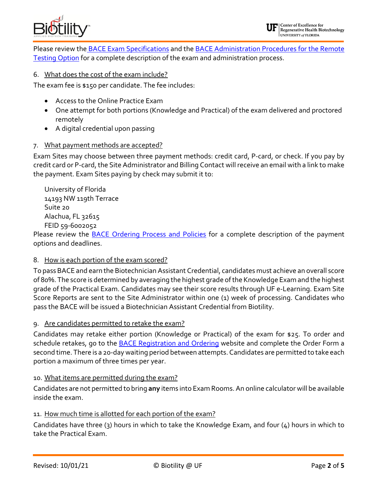

Please review the **[BACE Exam Specifications](https://biotility.research.ufl.edu/bace/documents/rto/remote-exam-specs)** and the **BACE Administration Procedures for the Remote** [Testing Option](https://biotility.research.ufl.edu/bace/documents/rto/remote-procedures) for a complete description of the exam and administration process.

#### 6. What does the cost of the exam include?

The exam fee is \$150 per candidate. The fee includes:

- Access to the Online Practice Exam
- One attempt for both portions (Knowledge and Practical) of the exam delivered and proctored remotely
- A digital credential upon passing

#### 7. What payment methods are accepted?

Exam Sites may choose between three payment methods: credit card, P-card, or check. If you pay by credit card or P-card, the Site Administrator and Billing Contact will receive an email with a link to make the payment. Exam Sites paying by check may submit it to:

University of Florida 14193 NW 119th Terrace Suite 20 Alachua, FL 32615 FEID 59-6002052

Please review the [BACE Ordering Process and Policies](https://biotility.research.ufl.edu/bace/documents/lto/live-ordering) for a complete description of the payment options and deadlines.

#### 8. How is each portion of the exam scored?

To pass BACE and earn the Biotechnician Assistant Credential, candidates must achieve an overall score of 80%. The score is determined by averaging the highest grade of the Knowledge Exam and the highest grade of the Practical Exam. Candidates may see their score results through UF e-Learning. Exam Site Score Reports are sent to the Site Administrator within one (1) week of processing. Candidates who pass the BACE will be issued a Biotechnician Assistant Credential from Biotility.

9. Are candidates permitted to retake the exam?

Candidates may retake either portion (Knowledge or Practical) of the exam for \$25. To order and schedule retakes, go to the [BACE Registration and Ordering](http://biotility.research.ufl.edu/bace/schoolregistration) website and complete the Order Form a second time. There is a 20-day waiting period between attempts. Candidates are permitted to take each portion a maximum of three times per year.

#### 10. What items are permitted during the exam?

Candidates are not permitted to bring **any** items into Exam Rooms. An online calculator will be available inside the exam.

#### 11. How much time is allotted for each portion of the exam?

Candidates have three (3) hours in which to take the Knowledge Exam, and four (4) hours in which to take the Practical Exam.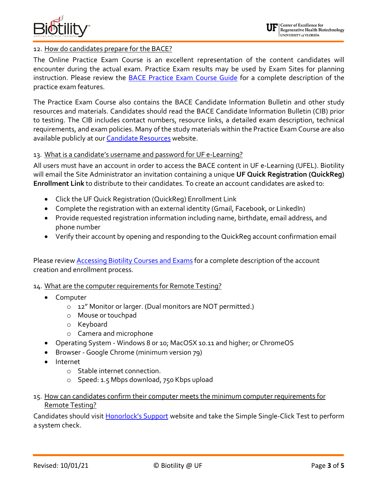

#### 12. How do candidates prepare for the BACE?

The Online Practice Exam Course is an excellent representation of the content candidates will encounter during the actual exam. Practice Exam results may be used by Exam Sites for planning instruction. Please review the **BACE Practice Exam Course Guide** for a complete description of the practice exam features.

The Practice Exam Course also contains the BACE Candidate Information Bulletin and other study resources and materials. Candidates should read the BACE Candidate Information Bulletin (CIB) prior to testing. The CIB includes contact numbers, resource links, a detailed exam description, technical requirements, and exam policies. Many of the study materials within the Practice Exam Course are also available publicly at our **Candidate Resources** website.

#### 13. What is a candidate's username and password for UF e-Learning?

All users must have an account in order to access the BACE content in UF e-Learning (UFEL). Biotility will email the Site Administrator an invitation containing a unique **UF Quick Registration (QuickReg) Enrollment Link** to distribute to their candidates. To create an account candidates are asked to:

- Click the UF Quick Registration (QuickReg) Enrollment Link
- Complete the registration with an external identity (Gmail, Facebook, or LinkedIn)
- Provide requested registration information including name, birthdate, email address, and phone number
- Verify their account by opening and responding to the QuickReg account confirmation email

Please review **Accessing Biotility Courses and Exams** for a complete description of the account creation and enrollment process.

#### 14. What are the computer requirements for Remote Testing?

- Computer
	- o 12" Monitor or larger. (Dual monitors are NOT permitted.)
	- o Mouse or touchpad
	- o Keyboard
	- o Camera and microphone
- Operating System Windows 8 or 10; MacOSX 10.11 and higher; or ChromeOS
- Browser Google Chrome (minimum version 79)
- Internet
	- o Stable internet connection.
	- o Speed: 1.5 Mbps download, 750 Kbps upload
- 15. How can candidates confirm their computer meets the minimum computer requirements for Remote Testing?

Candidates should visit **Honorlock's Support** website and take the Simple Single-Click Test to perform a system check.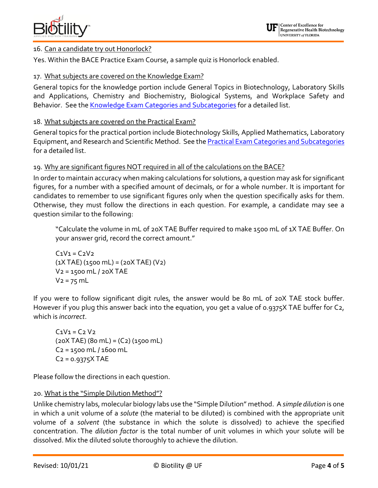

## 16. Can a candidate try out Honorlock?

Yes. Within the BACE Practice Exam Course, a sample quiz is Honorlock enabled.

## 17. What subjects are covered on the Knowledge Exam?

General topics for the knowledge portion include General Topics in Biotechnology, Laboratory Skills and Applications, Chemistry and Biochemistry, Biological Systems, and Workplace Safety and Behavior. See the [Knowledge Exam Categories and Subcategories](http://biotility.research.ufl.edu/bace/exam-categories/#KE) for a detailed list.

## 18. What subjects are covered on the Practical Exam?

General topics for the practical portion include Biotechnology Skills, Applied Mathematics, Laboratory Equipment, and Research and Scientific Method. See the **Practical Exam Categories and Subcategories** for a detailed list.

#### 19. Why are significant figures NOT required in all of the calculations on the BACE?

In order to maintain accuracy when making calculations for solutions, a question may ask for significant figures, for a number with a specified amount of decimals, or for a whole number. It is important for candidates to remember to use significant figures only when the question specifically asks for them. Otherwise, they must follow the directions in each question. For example, a candidate may see a question similar to the following:

"Calculate the volume in mL of 20X TAE Buffer required to make 1500 mL of 1X TAE Buffer. On your answer grid, record the correct amount."

 $C_1V_1 = C_2V_2$  $(1X \text{ TAE})$   $(1500 \text{ mL}) = (20X \text{ TAE})$   $(V_2)$ V2 = 1500 mL / 20X TAE  $V_2 = 75$  mL

If you were to follow significant digit rules, the answer would be 80 mL of 20X TAE stock buffer. However if you plug this answer back into the equation, you get a value of 0.9375X TAE buffer for C2, which is *incorrect*.

 $C_1V_1 = C_2 V_2$  $(20X)$  TAE)  $(80)$  mL =  $(C2)$   $(1500)$  mL C2 = 1500 mL / 1600 mL  $C_2$  = 0.9375 $X$  TAE

Please follow the directions in each question.

#### 20. What is the "Simple Dilution Method"?

Unlike chemistry labs, molecular biology labs use the "Simple Dilution" method. A *simple dilution* is one in which a unit volume of a *solute* (the material to be diluted) is combined with the appropriate unit volume of a *solvent* (the substance in which the solute is dissolved) to achieve the specified concentration. The *dilution factor* is the total number of unit volumes in which your solute will be dissolved. Mix the diluted solute thoroughly to achieve the dilution.